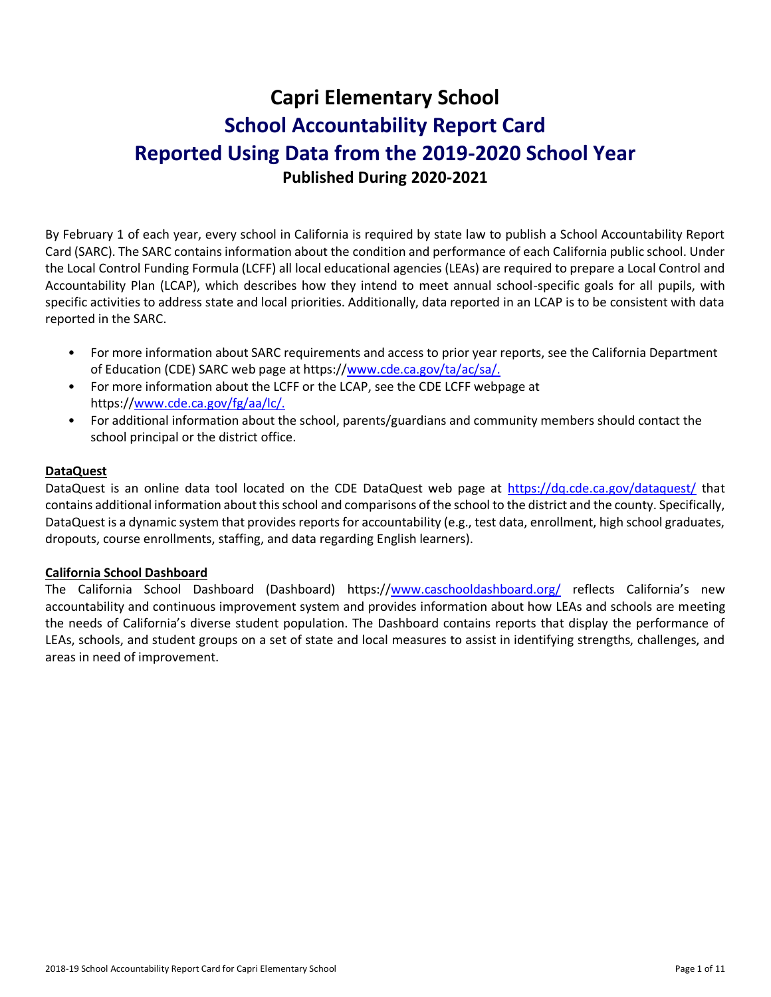# **Capri Elementary School School Accountability Report Card Reported Using Data from the 2019-2020 School Year Published During 2020-2021**

By February 1 of each year, every school in California is required by state law to publish a School Accountability Report Card (SARC). The SARC contains information about the condition and performance of each California public school. Under the Local Control Funding Formula (LCFF) all local educational agencies (LEAs) are required to prepare a Local Control and Accountability Plan (LCAP), which describes how they intend to meet annual school-specific goals for all pupils, with specific activities to address state and local priorities. Additionally, data reported in an LCAP is to be consistent with data reported in the SARC.

- For more information about SARC requirements and access to prior year reports, see the California Department of Education (CDE) SARC web page at https:/[/www.cde.ca.gov/ta/ac/sa/.](https://www.cde.ca.gov/ta/ac/sa/)
- For more information about the LCFF or the LCAP, see the CDE LCFF webpage at https:/[/www.cde.ca.gov/fg/aa/lc/.](https://www.cde.ca.gov/fg/aa/lc/)
- For additional information about the school, parents/guardians and community members should contact the school principal or the district office.

### **DataQuest**

DataQuest is an online data tool located on the CDE DataQuest web page at<https://dq.cde.ca.gov/dataquest/> that contains additional information about this school and comparisons of the school to the district and the county. Specifically, DataQuest is a dynamic system that provides reports for accountability (e.g., test data, enrollment, high school graduates, dropouts, course enrollments, staffing, and data regarding English learners).

### **California School Dashboard**

The California School Dashboard (Dashboard) https:/[/www.caschooldashboard.org/](https://www.caschooldashboard.org/) reflects California's new accountability and continuous improvement system and provides information about how LEAs and schools are meeting the needs of California's diverse student population. The Dashboard contains reports that display the performance of LEAs, schools, and student groups on a set of state and local measures to assist in identifying strengths, challenges, and areas in need of improvement.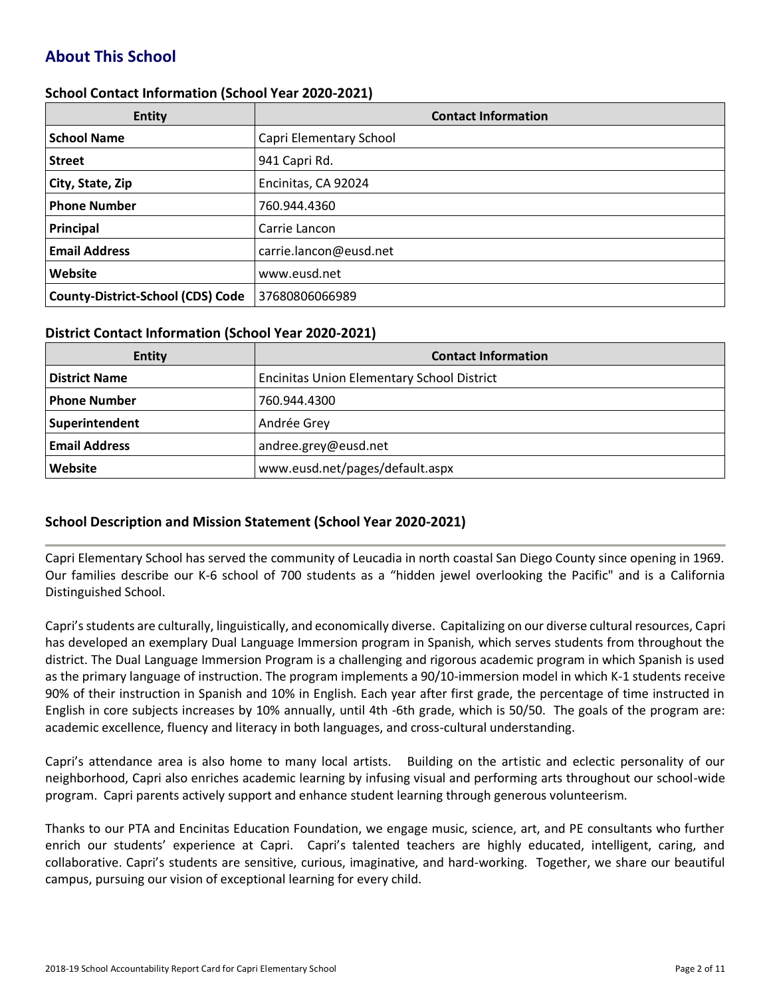# **About This School**

#### **School Contact Information (School Year 2020-2021)**

| <b>Entity</b>                            | <b>Contact Information</b> |
|------------------------------------------|----------------------------|
| <b>School Name</b>                       | Capri Elementary School    |
| <b>Street</b>                            | 941 Capri Rd.              |
| City, State, Zip                         | Encinitas, CA 92024        |
| <b>Phone Number</b>                      | 760.944.4360               |
| Principal                                | Carrie Lancon              |
| <b>Email Address</b>                     | carrie.lancon@eusd.net     |
| Website                                  | www.eusd.net               |
| <b>County-District-School (CDS) Code</b> | 37680806066989             |

#### **District Contact Information (School Year 2020-2021)**

| <b>Entity</b>        | <b>Contact Information</b>                        |  |  |  |
|----------------------|---------------------------------------------------|--|--|--|
| <b>District Name</b> | <b>Encinitas Union Elementary School District</b> |  |  |  |
| <b>Phone Number</b>  | 760.944.4300                                      |  |  |  |
| Superintendent       | Andrée Grey                                       |  |  |  |
| <b>Email Address</b> | andree.grey@eusd.net                              |  |  |  |
| <b>Website</b>       | www.eusd.net/pages/default.aspx                   |  |  |  |

### **School Description and Mission Statement (School Year 2020-2021)**

Capri Elementary School has served the community of Leucadia in north coastal San Diego County since opening in 1969. Our families describe our K-6 school of 700 students as a "hidden jewel overlooking the Pacific" and is a California Distinguished School.

Capri's students are culturally, linguistically, and economically diverse. Capitalizing on our diverse cultural resources, Capri has developed an exemplary Dual Language Immersion program in Spanish, which serves students from throughout the district. The Dual Language Immersion Program is a challenging and rigorous academic program in which Spanish is used as the primary language of instruction. The program implements a 90/10-immersion model in which K-1 students receive 90% of their instruction in Spanish and 10% in English. Each year after first grade, the percentage of time instructed in English in core subjects increases by 10% annually, until 4th -6th grade, which is 50/50. The goals of the program are: academic excellence, fluency and literacy in both languages, and cross-cultural understanding.

Capri's attendance area is also home to many local artists. Building on the artistic and eclectic personality of our neighborhood, Capri also enriches academic learning by infusing visual and performing arts throughout our school-wide program. Capri parents actively support and enhance student learning through generous volunteerism.

Thanks to our PTA and Encinitas Education Foundation, we engage music, science, art, and PE consultants who further enrich our students' experience at Capri. Capri's talented teachers are highly educated, intelligent, caring, and collaborative. Capri's students are sensitive, curious, imaginative, and hard-working. Together, we share our beautiful campus, pursuing our vision of exceptional learning for every child.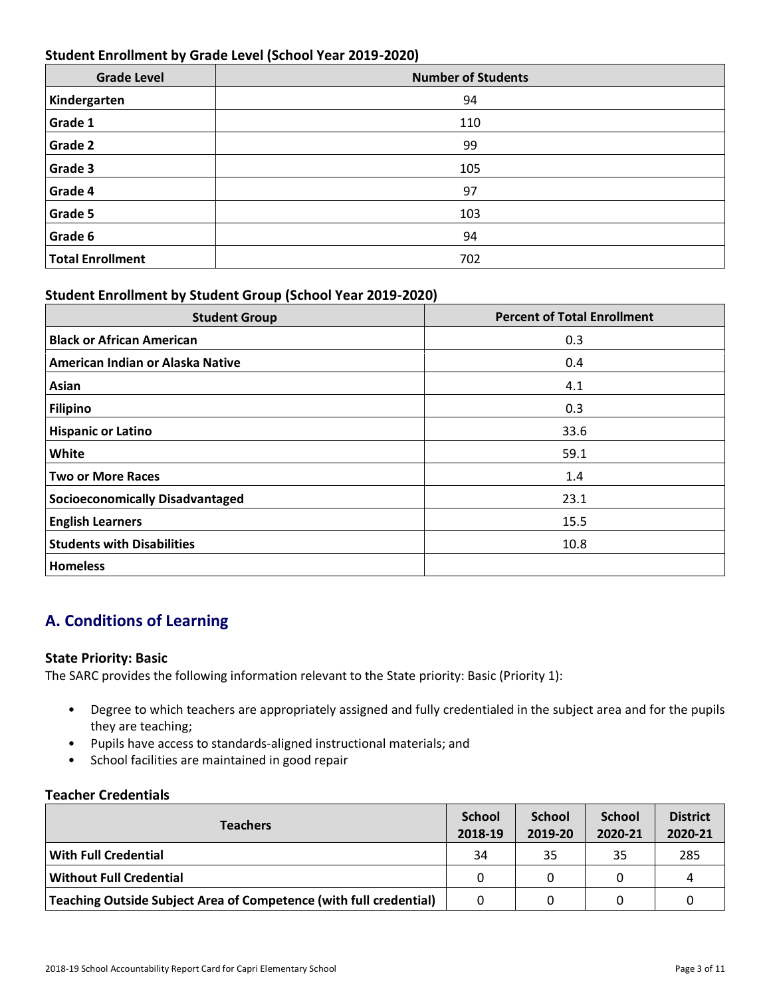# **Student Enrollment by Grade Level (School Year 2019-2020)**

| <b>Grade Level</b>      | <b>Number of Students</b> |
|-------------------------|---------------------------|
| Kindergarten            | 94                        |
| Grade 1                 | 110                       |
| Grade 2                 | 99                        |
| Grade 3                 | 105                       |
| Grade 4                 | 97                        |
| Grade 5                 | 103                       |
| Grade 6                 | 94                        |
| <b>Total Enrollment</b> | 702                       |

### **Student Enrollment by Student Group (School Year 2019-2020)**

| <b>Student Group</b>                   | <b>Percent of Total Enrollment</b> |
|----------------------------------------|------------------------------------|
| <b>Black or African American</b>       | 0.3                                |
| American Indian or Alaska Native       | 0.4                                |
| Asian                                  | 4.1                                |
| <b>Filipino</b>                        | 0.3                                |
| <b>Hispanic or Latino</b>              | 33.6                               |
| White                                  | 59.1                               |
| <b>Two or More Races</b>               | 1.4                                |
| <b>Socioeconomically Disadvantaged</b> | 23.1                               |
| <b>English Learners</b>                | 15.5                               |
| <b>Students with Disabilities</b>      | 10.8                               |
| <b>Homeless</b>                        |                                    |

# **A. Conditions of Learning**

### **State Priority: Basic**

The SARC provides the following information relevant to the State priority: Basic (Priority 1):

- Degree to which teachers are appropriately assigned and fully credentialed in the subject area and for the pupils they are teaching;
- Pupils have access to standards-aligned instructional materials; and
- School facilities are maintained in good repair

### **Teacher Credentials**

| <b>Teachers</b>                                                    |          | <b>School</b><br>2019-20 | <b>School</b><br>2020-21 | <b>District</b><br>2020-21 |
|--------------------------------------------------------------------|----------|--------------------------|--------------------------|----------------------------|
| <b>With Full Credential</b>                                        | 34       | 35                       | 35                       | 285                        |
| <b>Without Full Credential</b>                                     |          |                          |                          | 4                          |
| Teaching Outside Subject Area of Competence (with full credential) | $\Omega$ |                          |                          |                            |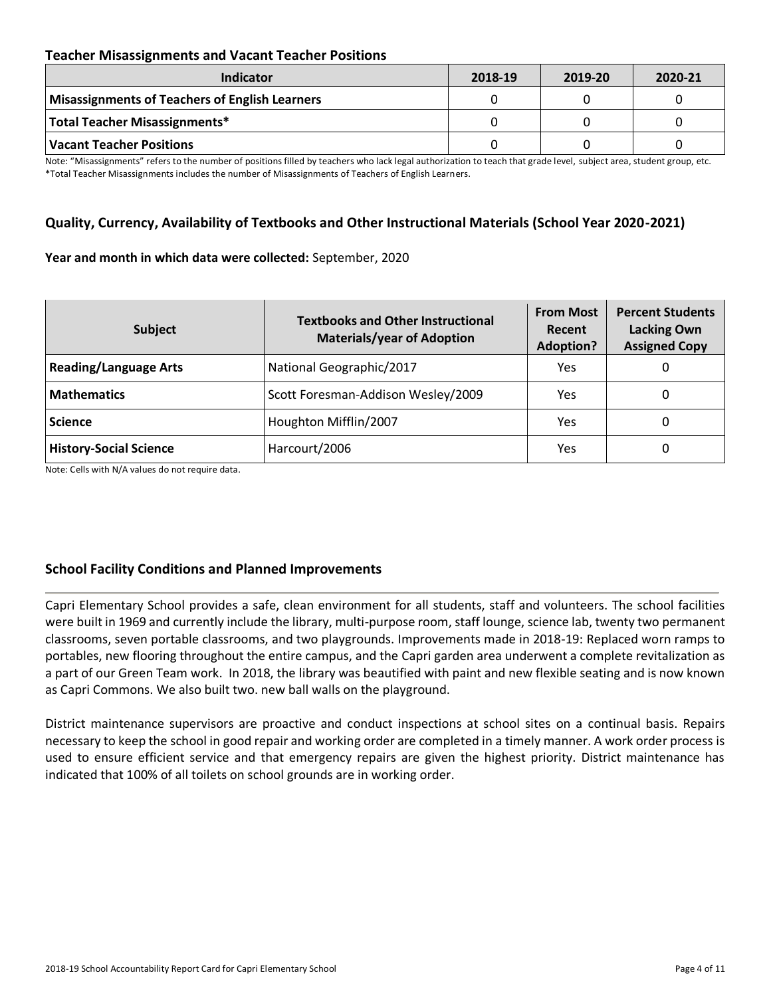### **Teacher Misassignments and Vacant Teacher Positions**

| <b>Indicator</b>                               | 2018-19 | 2019-20 | 2020-21 |
|------------------------------------------------|---------|---------|---------|
| Misassignments of Teachers of English Learners |         |         |         |
| Total Teacher Misassignments*                  |         |         |         |
| Vacant Teacher Positions                       |         |         |         |

Note: "Misassignments" refers to the number of positions filled by teachers who lack legal authorization to teach that grade level, subject area, student group, etc. \*Total Teacher Misassignments includes the number of Misassignments of Teachers of English Learners.

### **Quality, Currency, Availability of Textbooks and Other Instructional Materials (School Year 2020-2021)**

#### **Year and month in which data were collected:** September, 2020

| Subject                       | <b>Textbooks and Other Instructional</b><br><b>Materials/year of Adoption</b> | <b>From Most</b><br>Recent<br><b>Adoption?</b> | <b>Percent Students</b><br><b>Lacking Own</b><br><b>Assigned Copy</b> |
|-------------------------------|-------------------------------------------------------------------------------|------------------------------------------------|-----------------------------------------------------------------------|
| <b>Reading/Language Arts</b>  | National Geographic/2017                                                      | Yes                                            | O                                                                     |
| <b>Mathematics</b>            | Scott Foresman-Addison Wesley/2009                                            | Yes                                            | 0                                                                     |
| <b>Science</b>                | Houghton Mifflin/2007                                                         | Yes                                            | 0                                                                     |
| <b>History-Social Science</b> | Harcourt/2006                                                                 | Yes                                            | 0                                                                     |

Note: Cells with N/A values do not require data.

### **School Facility Conditions and Planned Improvements**

Capri Elementary School provides a safe, clean environment for all students, staff and volunteers. The school facilities were built in 1969 and currently include the library, multi-purpose room, staff lounge, science lab, twenty two permanent classrooms, seven portable classrooms, and two playgrounds. Improvements made in 2018-19: Replaced worn ramps to portables, new flooring throughout the entire campus, and the Capri garden area underwent a complete revitalization as a part of our Green Team work. In 2018, the library was beautified with paint and new flexible seating and is now known as Capri Commons. We also built two. new ball walls on the playground.

District maintenance supervisors are proactive and conduct inspections at school sites on a continual basis. Repairs necessary to keep the school in good repair and working order are completed in a timely manner. A work order process is used to ensure efficient service and that emergency repairs are given the highest priority. District maintenance has indicated that 100% of all toilets on school grounds are in working order.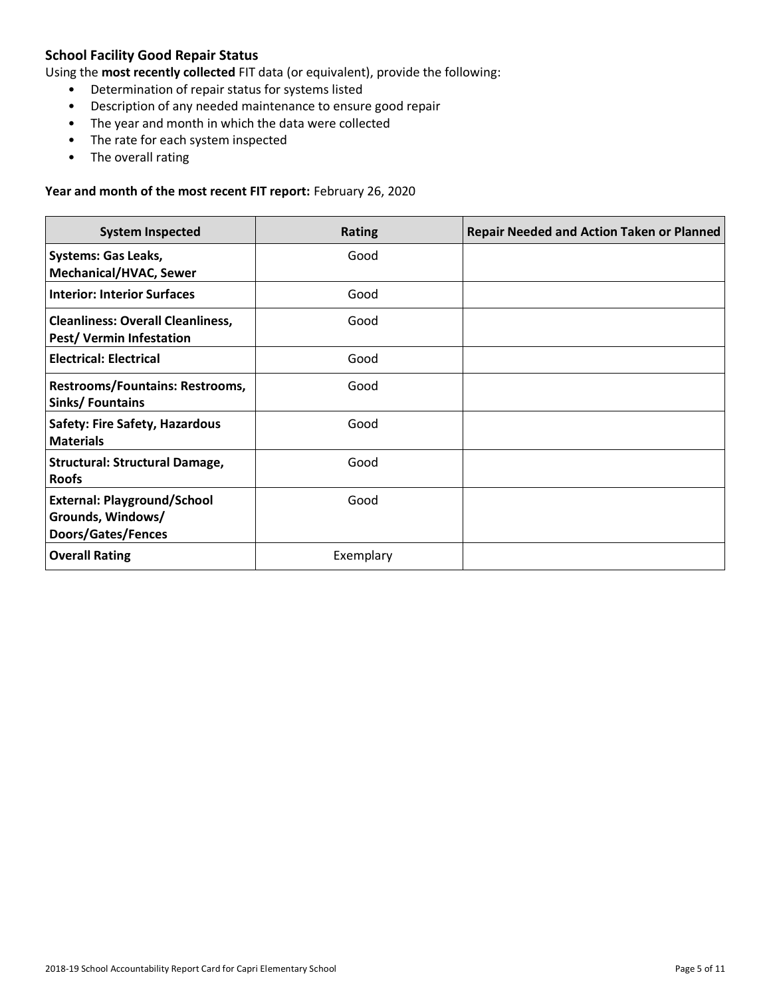# **School Facility Good Repair Status**

Using the **most recently collected** FIT data (or equivalent), provide the following:

- Determination of repair status for systems listed
- Description of any needed maintenance to ensure good repair
- The year and month in which the data were collected
- The rate for each system inspected
- The overall rating

#### **Year and month of the most recent FIT report:** February 26, 2020

| <b>System Inspected</b>                                                              | <b>Rating</b> | <b>Repair Needed and Action Taken or Planned</b> |
|--------------------------------------------------------------------------------------|---------------|--------------------------------------------------|
| <b>Systems: Gas Leaks,</b><br><b>Mechanical/HVAC, Sewer</b>                          | Good          |                                                  |
| <b>Interior: Interior Surfaces</b>                                                   | Good          |                                                  |
| <b>Cleanliness: Overall Cleanliness,</b><br><b>Pest/ Vermin Infestation</b>          | Good          |                                                  |
| <b>Electrical: Electrical</b>                                                        | Good          |                                                  |
| Restrooms/Fountains: Restrooms,<br>Sinks/Fountains                                   | Good          |                                                  |
| <b>Safety: Fire Safety, Hazardous</b><br><b>Materials</b>                            | Good          |                                                  |
| <b>Structural: Structural Damage,</b><br><b>Roofs</b>                                | Good          |                                                  |
| <b>External: Playground/School</b><br>Grounds, Windows/<br><b>Doors/Gates/Fences</b> | Good          |                                                  |
| <b>Overall Rating</b>                                                                | Exemplary     |                                                  |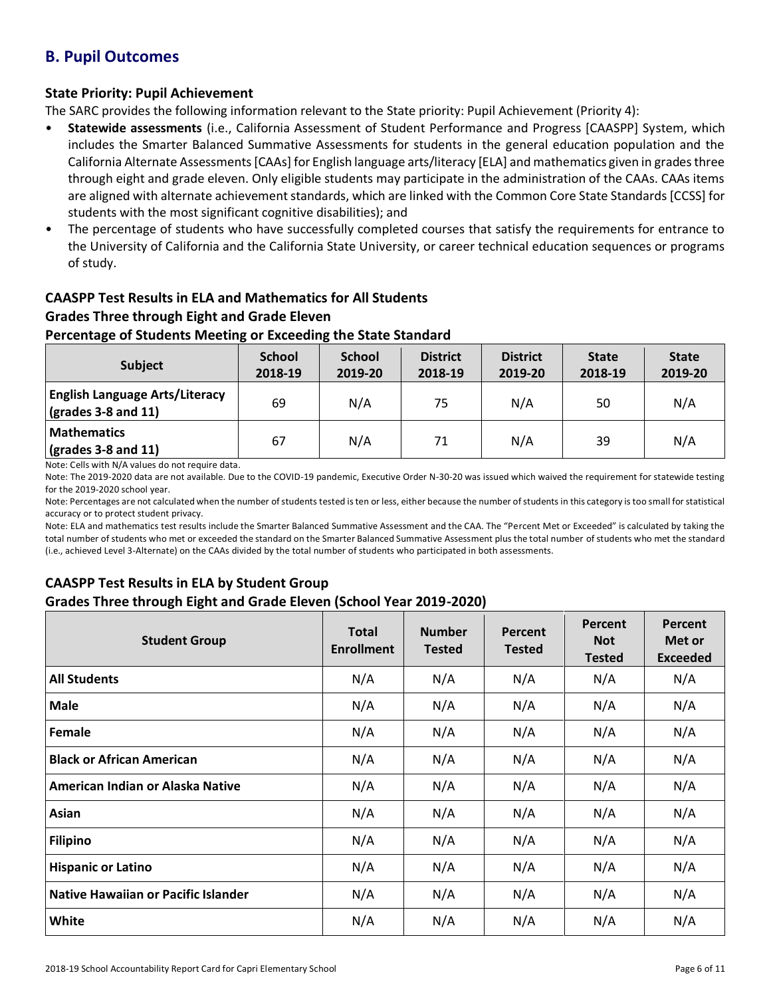# **B. Pupil Outcomes**

# **State Priority: Pupil Achievement**

The SARC provides the following information relevant to the State priority: Pupil Achievement (Priority 4):

- **Statewide assessments** (i.e., California Assessment of Student Performance and Progress [CAASPP] System, which includes the Smarter Balanced Summative Assessments for students in the general education population and the California Alternate Assessments [CAAs] for English language arts/literacy [ELA] and mathematics given in grades three through eight and grade eleven. Only eligible students may participate in the administration of the CAAs. CAAs items are aligned with alternate achievement standards, which are linked with the Common Core State Standards [CCSS] for students with the most significant cognitive disabilities); and
- The percentage of students who have successfully completed courses that satisfy the requirements for entrance to the University of California and the California State University, or career technical education sequences or programs of study.

# **CAASPP Test Results in ELA and Mathematics for All Students Grades Three through Eight and Grade Eleven**

# **Percentage of Students Meeting or Exceeding the State Standard**

| <b>Subject</b>                                                       | <b>School</b><br>2018-19 | <b>School</b><br>2019-20 | <b>District</b><br>2018-19 | <b>District</b><br>2019-20 | <b>State</b><br>2018-19 | <b>State</b><br>2019-20 |
|----------------------------------------------------------------------|--------------------------|--------------------------|----------------------------|----------------------------|-------------------------|-------------------------|
| <b>English Language Arts/Literacy</b><br>$\vert$ (grades 3-8 and 11) | 69                       | N/A                      | 75                         | N/A                        | 50                      | N/A                     |
| <b>Mathematics</b><br>$\sqrt{\frac{1}{2}}$ (grades 3-8 and 11)       | 67                       | N/A                      | 71                         | N/A                        | 39                      | N/A                     |

Note: Cells with N/A values do not require data.

Note: The 2019-2020 data are not available. Due to the COVID-19 pandemic, Executive Order N-30-20 was issued which waived the requirement for statewide testing for the 2019-2020 school year.

Note: Percentages are not calculated when the number of students tested is ten or less, either because the number of students in this category is too small for statistical accuracy or to protect student privacy.

Note: ELA and mathematics test results include the Smarter Balanced Summative Assessment and the CAA. The "Percent Met or Exceeded" is calculated by taking the total number of students who met or exceeded the standard on the Smarter Balanced Summative Assessment plus the total number of students who met the standard (i.e., achieved Level 3-Alternate) on the CAAs divided by the total number of students who participated in both assessments.

# **CAASPP Test Results in ELA by Student Group**

# **Grades Three through Eight and Grade Eleven (School Year 2019-2020)**

| <b>Student Group</b>                | <b>Total</b><br><b>Enrollment</b> | <b>Number</b><br><b>Tested</b> | Percent<br><b>Tested</b> | Percent<br><b>Not</b><br><b>Tested</b> | Percent<br>Met or<br><b>Exceeded</b> |
|-------------------------------------|-----------------------------------|--------------------------------|--------------------------|----------------------------------------|--------------------------------------|
| <b>All Students</b>                 | N/A                               | N/A                            | N/A                      | N/A                                    | N/A                                  |
| <b>Male</b>                         | N/A                               | N/A                            | N/A                      | N/A                                    | N/A                                  |
| Female                              | N/A                               | N/A                            | N/A                      | N/A                                    | N/A                                  |
| <b>Black or African American</b>    | N/A                               | N/A                            | N/A                      | N/A                                    | N/A                                  |
| American Indian or Alaska Native    | N/A                               | N/A                            | N/A                      | N/A                                    | N/A                                  |
| Asian                               | N/A                               | N/A                            | N/A                      | N/A                                    | N/A                                  |
| <b>Filipino</b>                     | N/A                               | N/A                            | N/A                      | N/A                                    | N/A                                  |
| <b>Hispanic or Latino</b>           | N/A                               | N/A                            | N/A                      | N/A                                    | N/A                                  |
| Native Hawaiian or Pacific Islander | N/A                               | N/A                            | N/A                      | N/A                                    | N/A                                  |
| White                               | N/A                               | N/A                            | N/A                      | N/A                                    | N/A                                  |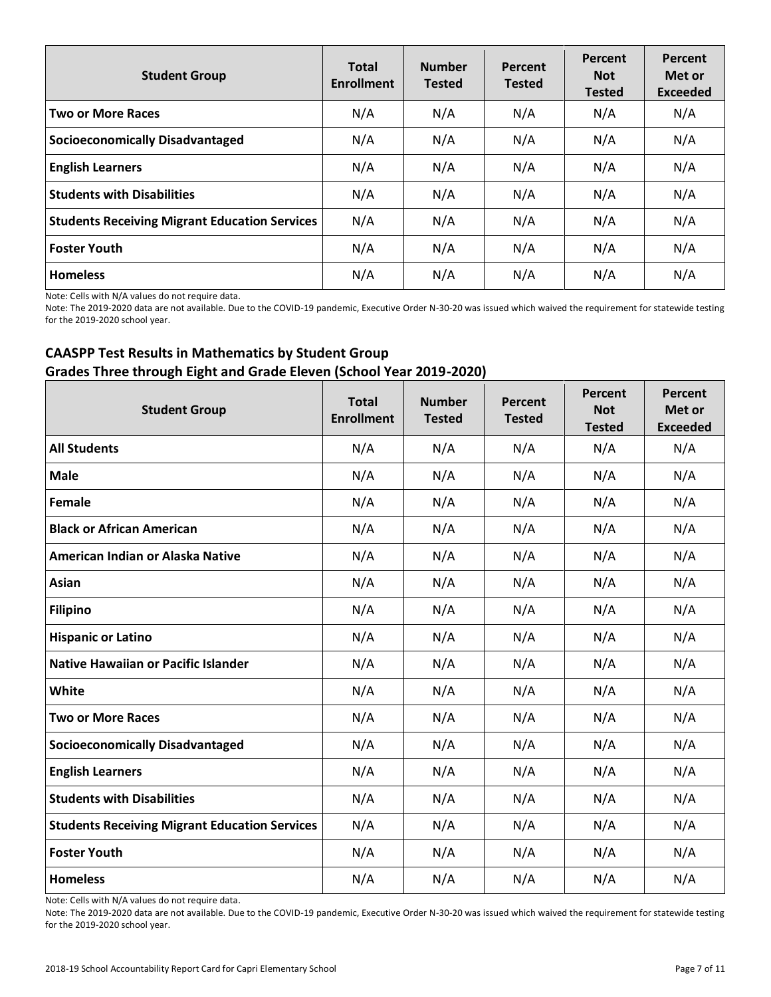| <b>Student Group</b>                                 | <b>Total</b><br><b>Enrollment</b> | <b>Number</b><br><b>Tested</b> | Percent<br><b>Tested</b> | Percent<br><b>Not</b><br><b>Tested</b> | Percent<br>Met or<br><b>Exceeded</b> |
|------------------------------------------------------|-----------------------------------|--------------------------------|--------------------------|----------------------------------------|--------------------------------------|
| <b>Two or More Races</b>                             | N/A                               | N/A                            | N/A                      | N/A                                    | N/A                                  |
| <b>Socioeconomically Disadvantaged</b>               | N/A                               | N/A                            | N/A                      | N/A                                    | N/A                                  |
| <b>English Learners</b>                              | N/A                               | N/A                            | N/A                      | N/A                                    | N/A                                  |
| <b>Students with Disabilities</b>                    | N/A                               | N/A                            | N/A                      | N/A                                    | N/A                                  |
| <b>Students Receiving Migrant Education Services</b> | N/A                               | N/A                            | N/A                      | N/A                                    | N/A                                  |
| <b>Foster Youth</b>                                  | N/A                               | N/A                            | N/A                      | N/A                                    | N/A                                  |
| <b>Homeless</b>                                      | N/A                               | N/A                            | N/A                      | N/A                                    | N/A                                  |

Note: Cells with N/A values do not require data.

Note: The 2019-2020 data are not available. Due to the COVID-19 pandemic, Executive Order N-30-20 was issued which waived the requirement for statewide testing for the 2019-2020 school year.

# **CAASPP Test Results in Mathematics by Student Group Grades Three through Eight and Grade Eleven (School Year 2019-2020)**

| <b>Student Group</b>                                 | <b>Total</b><br><b>Enrollment</b> | <b>Number</b><br><b>Tested</b> | Percent<br><b>Tested</b> | Percent<br><b>Not</b><br><b>Tested</b> | Percent<br>Met or<br><b>Exceeded</b> |
|------------------------------------------------------|-----------------------------------|--------------------------------|--------------------------|----------------------------------------|--------------------------------------|
| <b>All Students</b>                                  | N/A                               | N/A                            | N/A                      | N/A                                    | N/A                                  |
| <b>Male</b>                                          | N/A                               | N/A                            | N/A                      | N/A                                    | N/A                                  |
| <b>Female</b>                                        | N/A                               | N/A                            | N/A                      | N/A                                    | N/A                                  |
| <b>Black or African American</b>                     | N/A                               | N/A                            | N/A                      | N/A                                    | N/A                                  |
| American Indian or Alaska Native                     | N/A                               | N/A                            | N/A                      | N/A                                    | N/A                                  |
| <b>Asian</b>                                         | N/A                               | N/A                            | N/A                      | N/A                                    | N/A                                  |
| <b>Filipino</b>                                      | N/A                               | N/A                            | N/A                      | N/A                                    | N/A                                  |
| <b>Hispanic or Latino</b>                            | N/A                               | N/A                            | N/A                      | N/A                                    | N/A                                  |
| <b>Native Hawaiian or Pacific Islander</b>           | N/A                               | N/A                            | N/A                      | N/A                                    | N/A                                  |
| White                                                | N/A                               | N/A                            | N/A                      | N/A                                    | N/A                                  |
| <b>Two or More Races</b>                             | N/A                               | N/A                            | N/A                      | N/A                                    | N/A                                  |
| <b>Socioeconomically Disadvantaged</b>               | N/A                               | N/A                            | N/A                      | N/A                                    | N/A                                  |
| <b>English Learners</b>                              | N/A                               | N/A                            | N/A                      | N/A                                    | N/A                                  |
| <b>Students with Disabilities</b>                    | N/A                               | N/A                            | N/A                      | N/A                                    | N/A                                  |
| <b>Students Receiving Migrant Education Services</b> | N/A                               | N/A                            | N/A                      | N/A                                    | N/A                                  |
| <b>Foster Youth</b>                                  | N/A                               | N/A                            | N/A                      | N/A                                    | N/A                                  |
| <b>Homeless</b>                                      | N/A                               | N/A                            | N/A                      | N/A                                    | N/A                                  |

Note: Cells with N/A values do not require data.

Note: The 2019-2020 data are not available. Due to the COVID-19 pandemic, Executive Order N-30-20 was issued which waived the requirement for statewide testing for the 2019-2020 school year.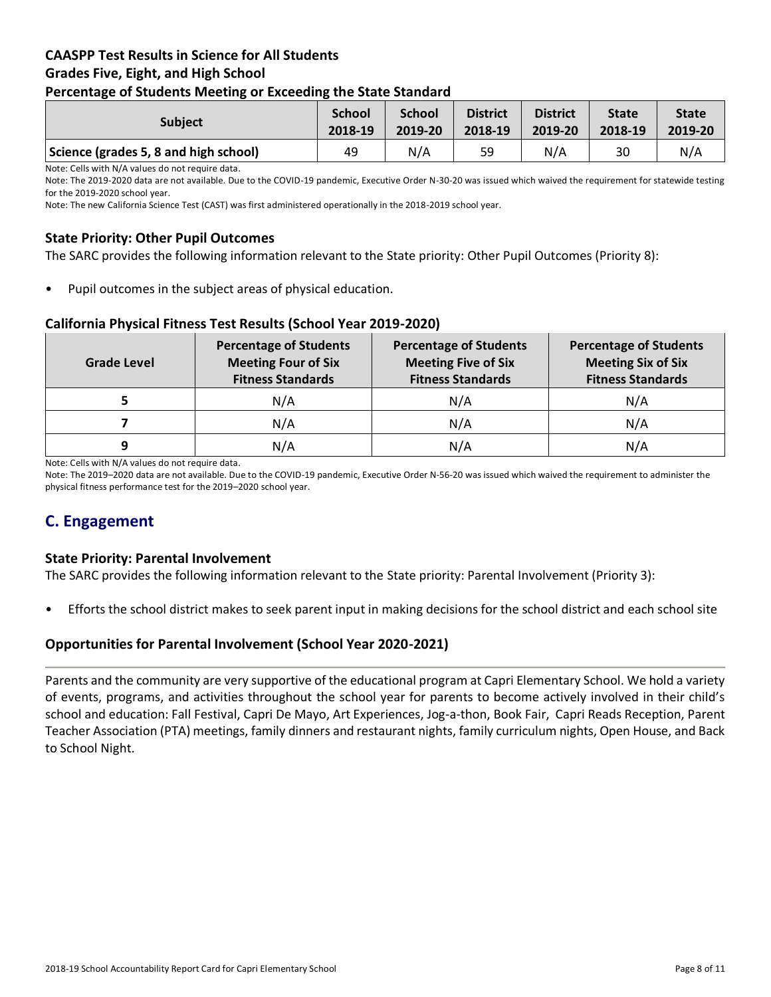# **CAASPP Test Results in Science for All Students Grades Five, Eight, and High School Percentage of Students Meeting or Exceeding the State Standard**

| . .                                   |                          |                          |                            |                            |                         |                         |
|---------------------------------------|--------------------------|--------------------------|----------------------------|----------------------------|-------------------------|-------------------------|
| <b>Subject</b>                        | <b>School</b><br>2018-19 | <b>School</b><br>2019-20 | <b>District</b><br>2018-19 | <b>District</b><br>2019-20 | <b>State</b><br>2018-19 | <b>State</b><br>2019-20 |
| Science (grades 5, 8 and high school) | 49                       | N/A                      | 59                         | N/A                        | 30                      | N/A                     |

Note: Cells with N/A values do not require data.

Note: The 2019-2020 data are not available. Due to the COVID-19 pandemic, Executive Order N-30-20 was issued which waived the requirement for statewide testing for the 2019-2020 school year.

Note: The new California Science Test (CAST) was first administered operationally in the 2018-2019 school year.

### **State Priority: Other Pupil Outcomes**

The SARC provides the following information relevant to the State priority: Other Pupil Outcomes (Priority 8):

Pupil outcomes in the subject areas of physical education.

### **California Physical Fitness Test Results (School Year 2019-2020)**

| <b>Grade Level</b> | <b>Percentage of Students</b><br><b>Meeting Four of Six</b><br><b>Fitness Standards</b> | <b>Percentage of Students</b><br><b>Meeting Five of Six</b><br><b>Fitness Standards</b> | <b>Percentage of Students</b><br><b>Meeting Six of Six</b><br><b>Fitness Standards</b> |  |
|--------------------|-----------------------------------------------------------------------------------------|-----------------------------------------------------------------------------------------|----------------------------------------------------------------------------------------|--|
|                    | N/A                                                                                     | N/A                                                                                     | N/A                                                                                    |  |
|                    | N/A                                                                                     | N/A                                                                                     | N/A                                                                                    |  |
| 9                  | N/A                                                                                     | N/A                                                                                     | N/A                                                                                    |  |

Note: Cells with N/A values do not require data.

Note: The 2019–2020 data are not available. Due to the COVID-19 pandemic, Executive Order N-56-20 was issued which waived the requirement to administer the physical fitness performance test for the 2019–2020 school year.

# **C. Engagement**

### **State Priority: Parental Involvement**

The SARC provides the following information relevant to the State priority: Parental Involvement (Priority 3):

• Efforts the school district makes to seek parent input in making decisions for the school district and each school site

### **Opportunities for Parental Involvement (School Year 2020-2021)**

Parents and the community are very supportive of the educational program at Capri Elementary School. We hold a variety of events, programs, and activities throughout the school year for parents to become actively involved in their child's school and education: Fall Festival, Capri De Mayo, Art Experiences, Jog-a-thon, Book Fair, Capri Reads Reception, Parent Teacher Association (PTA) meetings, family dinners and restaurant nights, family curriculum nights, Open House, and Back to School Night.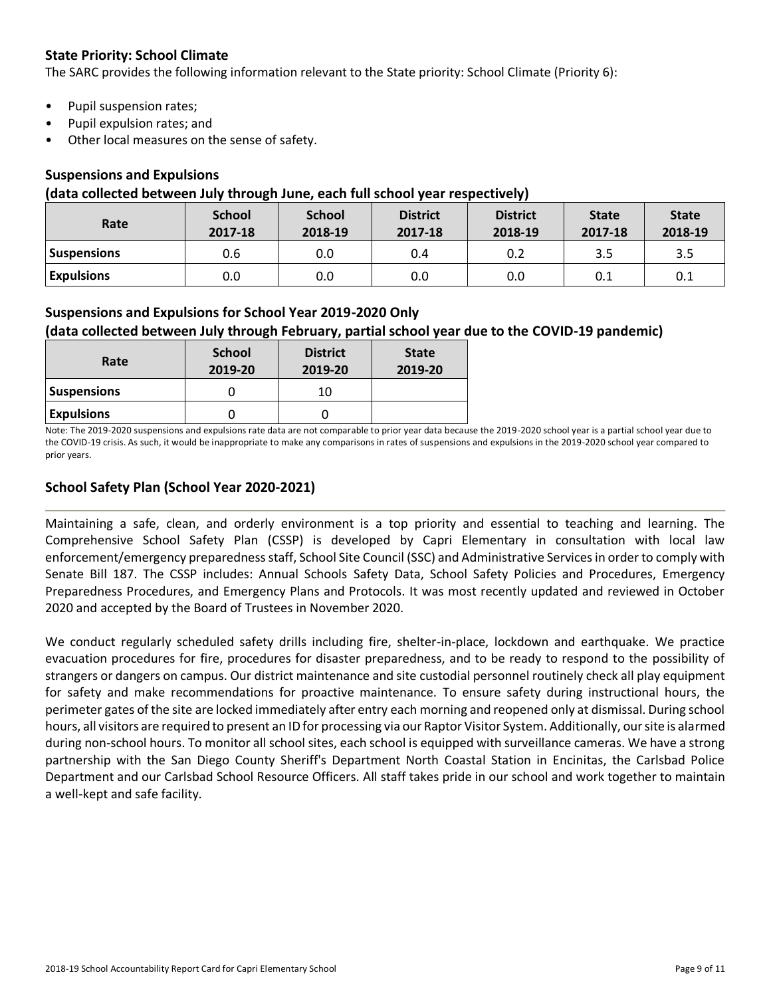# **State Priority: School Climate**

The SARC provides the following information relevant to the State priority: School Climate (Priority 6):

- Pupil suspension rates;
- Pupil expulsion rates; and
- Other local measures on the sense of safety.

# **Suspensions and Expulsions**

### **(data collected between July through June, each full school year respectively)**

| Rate              | <b>School</b><br>2017-18 | <b>School</b><br>2018-19 | <b>District</b><br>2017-18 | <b>District</b><br>2018-19 | <b>State</b><br>2017-18 | <b>State</b><br>2018-19 |
|-------------------|--------------------------|--------------------------|----------------------------|----------------------------|-------------------------|-------------------------|
| Suspensions       | 0.6                      | 0.0                      | 0.4                        | 0.2                        | 3.5                     | 3.5                     |
| <b>Expulsions</b> | 0.0                      | 0.0                      | 0.0                        | 0.0                        | 0.1                     | 0.1                     |

# **Suspensions and Expulsions for School Year 2019-2020 Only**

# **(data collected between July through February, partial school year due to the COVID-19 pandemic)**

| Rate               | <b>School</b><br>2019-20 | <b>District</b><br>2019-20 | <b>State</b><br>2019-20 |
|--------------------|--------------------------|----------------------------|-------------------------|
| <b>Suspensions</b> |                          | 10                         |                         |
| <b>Expulsions</b>  |                          |                            |                         |

Note: The 2019-2020 suspensions and expulsions rate data are not comparable to prior year data because the 2019-2020 school year is a partial school year due to the COVID-19 crisis. As such, it would be inappropriate to make any comparisons in rates of suspensions and expulsions in the 2019-2020 school year compared to prior years.

# **School Safety Plan (School Year 2020-2021)**

Maintaining a safe, clean, and orderly environment is a top priority and essential to teaching and learning. The Comprehensive School Safety Plan (CSSP) is developed by Capri Elementary in consultation with local law enforcement/emergency preparedness staff, School Site Council (SSC) and Administrative Services in order to comply with Senate Bill 187. The CSSP includes: Annual Schools Safety Data, School Safety Policies and Procedures, Emergency Preparedness Procedures, and Emergency Plans and Protocols. It was most recently updated and reviewed in October 2020 and accepted by the Board of Trustees in November 2020.

We conduct regularly scheduled safety drills including fire, shelter-in-place, lockdown and earthquake. We practice evacuation procedures for fire, procedures for disaster preparedness, and to be ready to respond to the possibility of strangers or dangers on campus. Our district maintenance and site custodial personnel routinely check all play equipment for safety and make recommendations for proactive maintenance. To ensure safety during instructional hours, the perimeter gates of the site are locked immediately after entry each morning and reopened only at dismissal. During school hours, all visitors are required to present an ID for processing via our Raptor Visitor System. Additionally, our site is alarmed during non-school hours. To monitor all school sites, each school is equipped with surveillance cameras. We have a strong partnership with the San Diego County Sheriff's Department North Coastal Station in Encinitas, the Carlsbad Police Department and our Carlsbad School Resource Officers. All staff takes pride in our school and work together to maintain a well-kept and safe facility.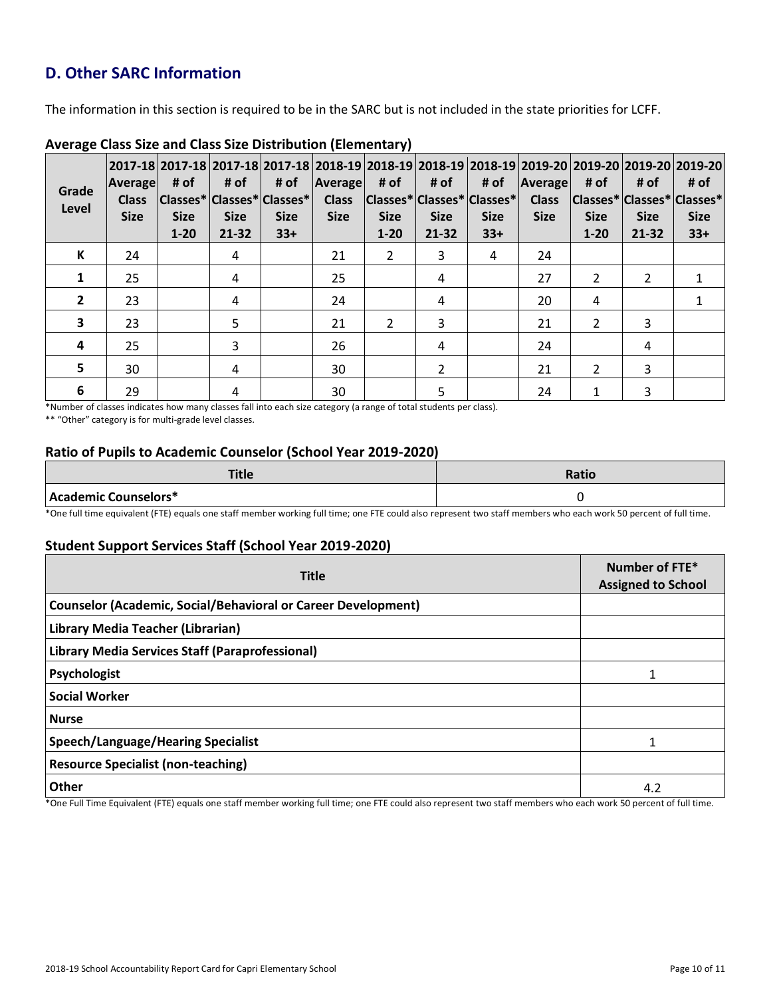# **D. Other SARC Information**

The information in this section is required to be in the SARC but is not included in the state priorities for LCFF.

| Grade<br>Level          | Average<br><b>Class</b><br><b>Size</b> | # of<br><b>Size</b><br>$1 - 20$ | # of<br><b>Size</b><br>$21 - 32$ | 2017-18  2017-18  2017-18  2017-18  2018-19  2018-19  2018-19  2018-19  2019-20  2019-20  2019-20  2019-20 <br># of<br> Classes* Classes* Classes* <br><b>Size</b><br>$33+$ | Average<br><b>Class</b><br><b>Size</b> | # of<br><b>Size</b><br>$1 - 20$ | # of<br> Classes* Classes* Classes* <br><b>Size</b><br>$21 - 32$ | # of<br><b>Size</b><br>$33+$ | Average<br><b>Class</b><br><b>Size</b> | # of<br>Classes* Classes* Classes*<br><b>Size</b><br>$1 - 20$ | # of<br><b>Size</b><br>21-32 | # of<br><b>Size</b><br>$33+$ |
|-------------------------|----------------------------------------|---------------------------------|----------------------------------|-----------------------------------------------------------------------------------------------------------------------------------------------------------------------------|----------------------------------------|---------------------------------|------------------------------------------------------------------|------------------------------|----------------------------------------|---------------------------------------------------------------|------------------------------|------------------------------|
| К                       | 24                                     |                                 | 4                                |                                                                                                                                                                             | 21                                     | $\overline{2}$                  | 3                                                                | 4                            | 24                                     |                                                               |                              |                              |
| $\mathbf{1}$            | 25                                     |                                 | 4                                |                                                                                                                                                                             | 25                                     |                                 | 4                                                                |                              | 27                                     | 2                                                             | 2                            |                              |
| $\overline{2}$          | 23                                     |                                 | 4                                |                                                                                                                                                                             | 24                                     |                                 | 4                                                                |                              | 20                                     | 4                                                             |                              |                              |
| 3                       | 23                                     |                                 | 5                                |                                                                                                                                                                             | 21                                     | $\mathfrak{D}$                  | 3                                                                |                              | 21                                     | $\overline{2}$                                                | 3                            |                              |
| $\overline{\mathbf{4}}$ | 25                                     |                                 | 3                                |                                                                                                                                                                             | 26                                     |                                 | 4                                                                |                              | 24                                     |                                                               | 4                            |                              |
| $5\phantom{1}$          | 30                                     |                                 | 4                                |                                                                                                                                                                             | 30                                     |                                 | $\overline{2}$                                                   |                              | 21                                     | $\mathfrak{p}$                                                | 3                            |                              |
| 6                       | 29                                     |                                 | 4                                |                                                                                                                                                                             | 30                                     |                                 | 5                                                                |                              | 24                                     | 1                                                             | 3                            |                              |

### **Average Class Size and Class Size Distribution (Elementary)**

\*Number of classes indicates how many classes fall into each size category (a range of total students per class).

\*\* "Other" category is for multi-grade level classes.

### **Ratio of Pupils to Academic Counselor (School Year 2019-2020)**

| $T^*$ itla.<br>uuc   | <b>Ratio</b> |
|----------------------|--------------|
| Academic Counselors* |              |

\*One full time equivalent (FTE) equals one staff member working full time; one FTE could also represent two staff members who each work 50 percent of full time.

### **Student Support Services Staff (School Year 2019-2020)**

| <b>Title</b>                                                         | Number of FTE*<br><b>Assigned to School</b> |  |
|----------------------------------------------------------------------|---------------------------------------------|--|
| <b>Counselor (Academic, Social/Behavioral or Career Development)</b> |                                             |  |
| Library Media Teacher (Librarian)                                    |                                             |  |
| Library Media Services Staff (Paraprofessional)                      |                                             |  |
| Psychologist                                                         |                                             |  |
| <b>Social Worker</b>                                                 |                                             |  |
| <b>Nurse</b>                                                         |                                             |  |
| <b>Speech/Language/Hearing Specialist</b>                            |                                             |  |
| <b>Resource Specialist (non-teaching)</b>                            |                                             |  |
| Other<br>$-$<br>.<br>$\cdot$ $\cdot$ $\cdot$                         | 4.2                                         |  |

\*One Full Time Equivalent (FTE) equals one staff member working full time; one FTE could also represent two staff members who each work 50 percent of full time.